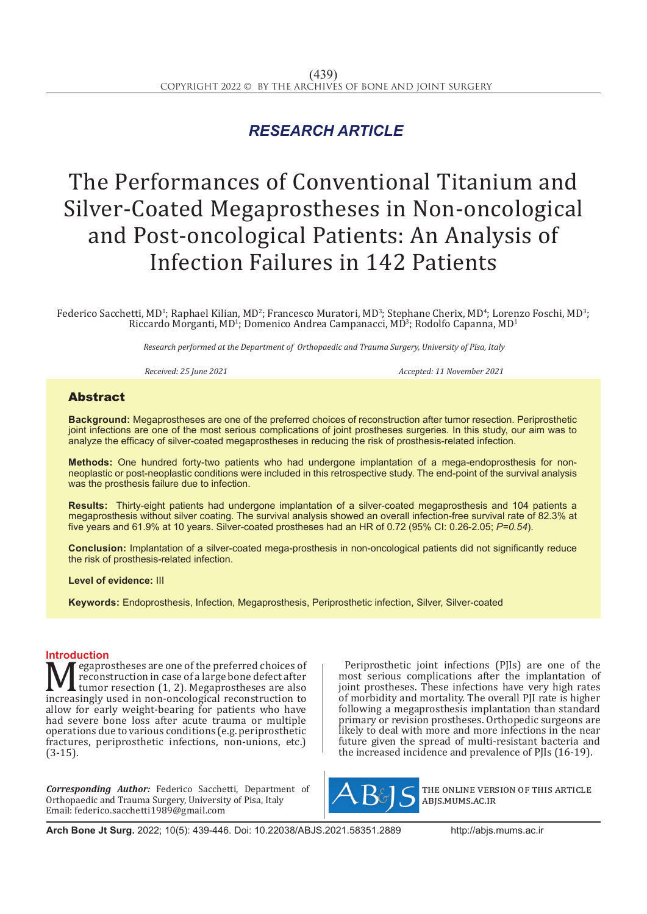## *RESEARCH ARTICLE*

# The Performances of Conventional Titanium and Silver-Coated Megaprostheses in Non-oncological and Post-oncological Patients: An Analysis of Infection Failures in 142 Patients

Federico Sacchetti, MD<sup>1</sup>; Raphael Kilian, MD<sup>2</sup>; Francesco Muratori, MD<sup>3</sup>; Stephane Cherix, MD<sup>4</sup>; Lorenzo Foschi, MD<sup>3</sup>; Riccardo Morganti, MD<sup>1</sup>; Domenico Andrea Campanacci, MD<sup>3</sup>; Rodolfo Capanna, MD<sup>1</sup>

*Research performed at the Department of Orthopaedic and Trauma Surgery, University of Pisa, Italy*

*Received: 25 June 2021 Accepted: 11 November 2021*

### Abstract

**Background:** Megaprostheses are one of the preferred choices of reconstruction after tumor resection. Periprosthetic joint infections are one of the most serious complications of joint prostheses surgeries. In this study, our aim was to analyze the efficacy of silver-coated megaprostheses in reducing the risk of prosthesis-related infection.

**Methods:** One hundred forty-two patients who had undergone implantation of a mega-endoprosthesis for nonneoplastic or post-neoplastic conditions were included in this retrospective study. The end-point of the survival analysis was the prosthesis failure due to infection.

**Results:** Thirty-eight patients had undergone implantation of a silver-coated megaprosthesis and 104 patients a megaprosthesis without silver coating. The survival analysis showed an overall infection-free survival rate of 82.3% at five years and 61.9% at 10 years. Silver-coated prostheses had an HR of 0.72 (95% CI: 0.26-2.05; *P=0.54*).

**Conclusion:** Implantation of a silver-coated mega-prosthesis in non-oncological patients did not significantly reduce the risk of prosthesis-related infection.

**Level of evidence:** III

**Keywords:** Endoprosthesis, Infection, Megaprosthesis, Periprosthetic infection, Silver, Silver-coated

**Introduction**<br>**N**  $\pi$  egaprostheses are one of the preferred choices of Megaprostheses are one of the preferred choices of<br>
tumor resection (1, 2). Megaprostheses are also<br>
increasingly used in non-oncological reconstruction to<br>
allow for early weight-bearing for patients who have reconstruction in case of a large bone defect after tumor resection (1, 2). Megaprostheses are also allow for early weight-bearing for patients who have had severe bone loss after acute trauma or multiple operations due to various conditions (e.g. periprosthetic fractures, periprosthetic infections, non-unions, etc.) (3-15).

*Corresponding Author:* Federico Sacchetti, Department of Orthopaedic and Trauma Surgery, University of Pisa, Italy Email: federico.sacchetti1989@gmail.com

Periprosthetic joint infections (PJIs) are one of the most serious complications after the implantation of joint prostheses. These infections have very high rates of morbidity and mortality. The overall PJI rate is higher following a megaprosthesis implantation than standard primary or revision prostheses. Orthopedic surgeons are likely to deal with more and more infections in the near future given the spread of multi-resistant bacteria and the increased incidence and prevalence of PJIs (16-19).



the online version of this article abjs.mums.ac.ir

**Arch Bone Jt Surg.** 2022; 10(5): 439-446. Doi: 10.22038/ABJS.2021.58351.2889 http://abjs.mums.ac.ir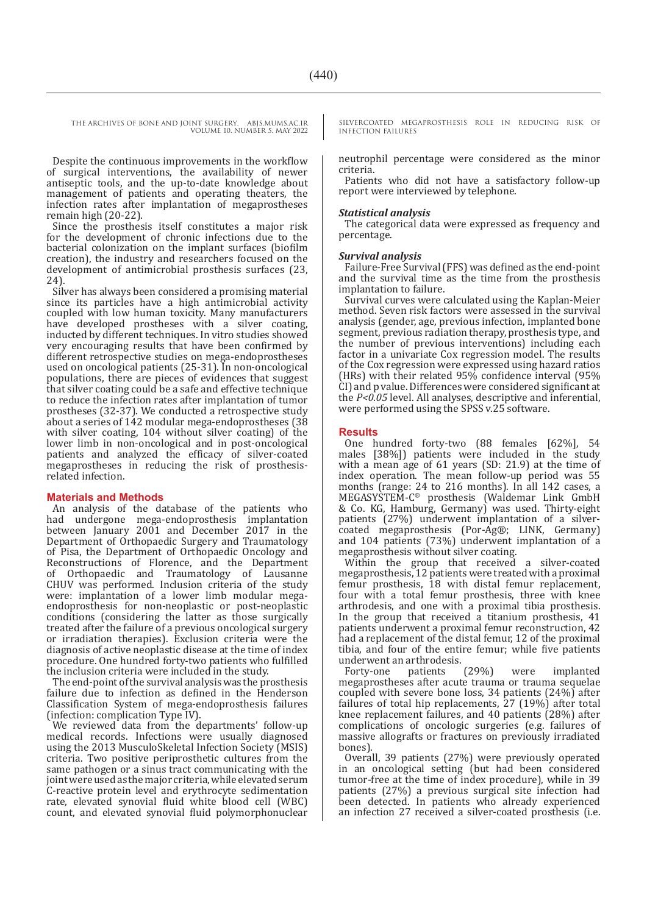Despite the continuous improvements in the workflow of surgical interventions, the availability of newer antiseptic tools, and the up-to-date knowledge about management of patients and operating theaters, the infection rates after implantation of megaprostheses remain high (20-22).

Since the prosthesis itself constitutes a major risk for the development of chronic infections due to the bacterial colonization on the implant surfaces (biofilm creation), the industry and researchers focused on the development of antimicrobial prosthesis surfaces (23, 24).

Silver has always been considered a promising material since its particles have a high antimicrobial activity coupled with low human toxicity. Many manufacturers have developed prostheses with a silver coating, inducted by different techniques. In vitro studies showed very encouraging results that have been confirmed by different retrospective studies on mega-endoprostheses used on oncological patients (25-31). In non-oncological populations, there are pieces of evidences that suggest that silver coating could be a safe and effective technique to reduce the infection rates after implantation of tumor prostheses (32-37). We conducted a retrospective study about a series of 142 modular mega-endoprostheses (38 with silver coating, 104 without silver coating) of the lower limb in non-oncological and in post-oncological patients and analyzed the efficacy of silver-coated megaprostheses in reducing the risk of prosthesisrelated infection.

#### **Materials and Methods**

An analysis of the database of the patients who had undergone mega-endoprosthesis implantation between January 2001 and December 2017 in the Department of Orthopaedic Surgery and Traumatology of Pisa, the Department of Orthopaedic Oncology and Reconstructions of Florence, and the Department of Orthopaedic and Traumatology of Lausanne CHUV was performed. Inclusion criteria of the study were: implantation of a lower limb modular megaendoprosthesis for non-neoplastic or post-neoplastic conditions (considering the latter as those surgically treated after the failure of a previous oncological surgery or irradiation therapies). Exclusion criteria were the diagnosis of active neoplastic disease at the time of index procedure. One hundred forty-two patients who fulfilled the inclusion criteria were included in the study.

The end-point of the survival analysis was the prosthesis failure due to infection as defined in the Henderson Classification System of mega-endoprosthesis failures (infection: complication Type IV).

We reviewed data from the departments' follow-up medical records. Infections were usually diagnosed using the 2013 MusculoSkeletal Infection Society (MSIS) criteria. Two positive periprosthetic cultures from the same pathogen or a sinus tract communicating with the joint were used as the major criteria, while elevated serum C-reactive protein level and erythrocyte sedimentation rate, elevated synovial fluid white blood cell (WBC) count, and elevated synovial fluid polymorphonuclear SILVERCOATED MEGAPROSTHESIS ROLE IN REDUCING RISK OF INFECTION FAILURES

neutrophil percentage were considered as the minor criteria.

Patients who did not have a satisfactory follow-up report were interviewed by telephone.

#### *Statistical analysis*

The categorical data were expressed as frequency and percentage.

#### *Survival analysis*

Failure-Free Survival (FFS) was defined as the end-point and the survival time as the time from the prosthesis implantation to failure.

Survival curves were calculated using the Kaplan-Meier method. Seven risk factors were assessed in the survival analysis (gender, age, previous infection, implanted bone segment, previous radiation therapy, prosthesis type, and the number of previous interventions) including each factor in a univariate Cox regression model. The results of the Cox regression were expressed using hazard ratios (HRs) with their related 95% confidence interval (95% CI) and p value. Differences were considered significant at the *P<0.05* level. All analyses, descriptive and inferential, were performed using the SPSS v.25 software.

#### **Results**

One hundred forty-two (88 females [62%], 54 males [38%]) patients were included in the study with a mean age of 61 years (SD: 21.9) at the time of index operation. The mean follow-up period was 55 months (range: 24 to 216 months). In all 142 cases, a MEGASYSTEM-C® prosthesis (Waldemar Link GmbH & Co. KG, Hamburg, Germany) was used. Thirty-eight patients (27%) underwent implantation of a silvercoated megaprosthesis (Por-Ag®; LINK, Germany) and 104 patients (73%) underwent implantation of a megaprosthesis without silver coating.

Within the group that received a silver-coated megaprosthesis, 12 patients were treated with a proximal femur prosthesis, 18 with distal femur replacement, four with a total femur prosthesis, three with knee arthrodesis, and one with a proximal tibia prosthesis. In the group that received a titanium prosthesis, 41 patients underwent a proximal femur reconstruction, 42 had a replacement of the distal femur, 12 of the proximal tibia, and four of the entire femur; while five patients

underwent an arthrodesis.<br>Forty-one patients (29%) Forty-one patients (29%) were implanted megaprostheses after acute trauma or trauma sequelae coupled with severe bone loss, 34 patients (24%) after failures of total hip replacements, 27 (19%) after total knee replacement failures, and 40 patients (28%) after complications of oncologic surgeries (e.g. failures of massive allografts or fractures on previously irradiated bones).

Overall, 39 patients (27%) were previously operated in an oncological setting (but had been considered tumor-free at the time of index procedure), while in 39 patients (27%) a previous surgical site infection had been detected. In patients who already experienced an infection 27 received a silver-coated prosthesis (i.e.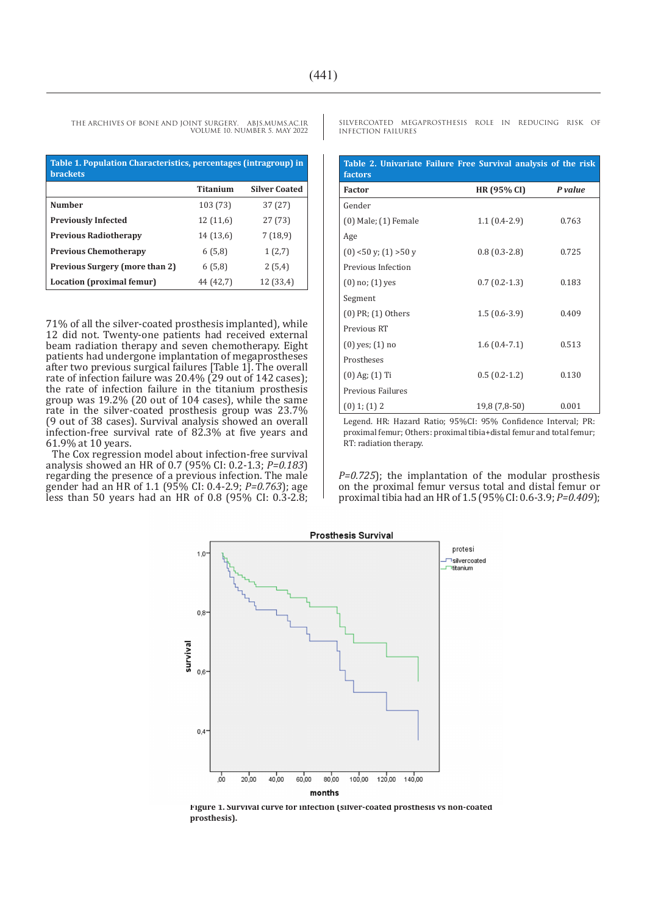| Table 1. Population Characteristics, percentages (intragroup) in<br><b>brackets</b> |           |                      |  |
|-------------------------------------------------------------------------------------|-----------|----------------------|--|
|                                                                                     | Titanium  | <b>Silver Coated</b> |  |
| <b>Number</b>                                                                       | 103 (73)  | 37(27)               |  |
| <b>Previously Infected</b>                                                          | 12(11,6)  | 27(73)               |  |
| <b>Previous Radiotherapy</b>                                                        | 14 (13,6) | 7(18,9)              |  |
| <b>Previous Chemotherapy</b>                                                        | 6(5,8)    | 1(2,7)               |  |
| Previous Surgery (more than 2)                                                      | 6(5,8)    | 2(5,4)               |  |
| Location (proximal femur)                                                           | 44 (42,7) | 12 (33,4)            |  |

71% of all the silver-coated prosthesis implanted), while 12 did not. Twenty-one patients had received external beam radiation therapy and seven chemotherapy. Eight patients had undergone implantation of megaprostheses after two previous surgical failures [Table 1]. The overall rate of infection failure was 20.4% (29 out of 142 cases); the rate of infection failure in the titanium prosthesis group was 19.2% (20 out of 104 cases), while the same rate in the silver-coated prosthesis group was 23.7% (9 out of 38 cases). Survival analysis showed an overall infection-free survival rate of 82.3% at five years and 61.9% at 10 years.

The Cox regression model about infection-free survival analysis showed an HR of 0.7 (95% CI: 0.2-1.3; *P=0.183*) regarding the presence of a previous infection. The male gender had an HR of 1.1 (95% CI: 0.4-2.9; *P=0.763*); age less than 50 years had an HR of 0.8 (95% CI: 0.3-2.8;

SILVERCOATED MEGAPROSTHESIS ROLE IN REDUCING RISK OF INFECTION FAILURES

| Table 2. Univariate Failure Free Survival analysis of the risk<br>factors |                    |         |  |
|---------------------------------------------------------------------------|--------------------|---------|--|
| <b>Factor</b>                                                             | <b>HR (95% CI)</b> | P value |  |
| Gender                                                                    |                    |         |  |
| $(0)$ Male; $(1)$ Female                                                  | $1.1(0.4-2.9)$     | 0.763   |  |
| Age                                                                       |                    |         |  |
| $(0)$ <50 y; $(1)$ >50 y                                                  | $0.8(0.3-2.8)$     | 0.725   |  |
| Previous Infection                                                        |                    |         |  |
| $(0)$ no; $(1)$ yes                                                       | $0.7(0.2-1.3)$     | 0.183   |  |
| Segment                                                                   |                    |         |  |
| $(0)$ PR; $(1)$ Others                                                    | $1.5(0.6-3.9)$     | 0.409   |  |
| Previous RT                                                               |                    |         |  |
| $(0)$ yes; $(1)$ no                                                       | $1.6(0.4-7.1)$     | 0.513   |  |
| Prostheses                                                                |                    |         |  |
| $(0)$ Ag; $(1)$ Ti                                                        | $0.5(0.2-1.2)$     | 0.130   |  |
| Previous Failures                                                         |                    |         |  |
| $(0)$ 1; $(1)$ 2                                                          | 19,8 (7,8-50)      | 0.001   |  |

Legend. HR: Hazard Ratio; 95%CI: 95% Confidence Interval; PR: proximal femur; Others: proximal tibia+distal femur and total femur; RT: radiation therapy.

*P=0.725*); the implantation of the modular prosthesis on the proximal femur versus total and distal femur or proximal tibia had an HR of 1.5 (95% CI: 0.6-3.9; *P=0.409*);



**Figure 1. Survival curve for infection (silver-coated prosthesis vs non-coated prosthesis).**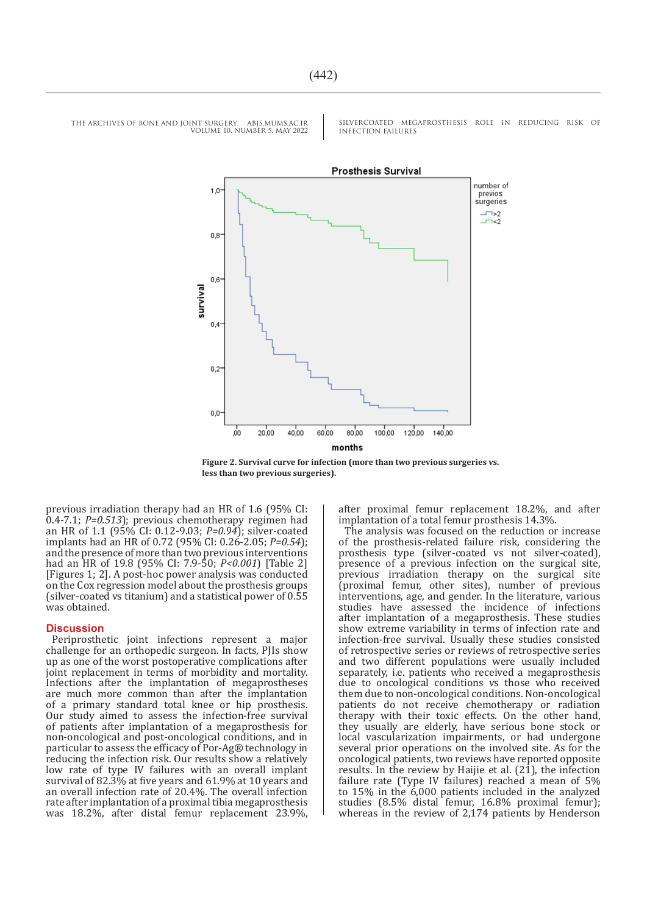SILVERCOATED MEGAPROSTHESIS ROLE IN REDUCING RISK OF INFECTION FAILURES



**Figure 2. Survival curve for infection (more than two previous surgeries vs. less than two previous surgeries).**

previous irradiation therapy had an HR of 1.6 (95% CI: 0.4-7.1; *P=0.513*); previous chemotherapy regimen had an HR of 1.1 (95% CI: 0.12-9.03; *P=0.94*); silver-coated implants had an HR of 0.72 (95% CI: 0.26-2.05; *P=0.54*); and the presence of more than two previous interventions had an HR of 19.8 (95% CI: 7.9-50; *P<0.001*) [Table 2] [Figures 1; 2]. A post-hoc power analysis was conducted on the Cox regression model about the prosthesis groups (silver-coated vs titanium) and a statistical power of 0.55 was obtained.

#### **Discussion**

Periprosthetic joint infections represent a major challenge for an orthopedic surgeon. In facts, PJIs show up as one of the worst postoperative complications after joint replacement in terms of morbidity and mortality. Infections after the implantation of megaprostheses are much more common than after the implantation of a primary standard total knee or hip prosthesis. Our study aimed to assess the infection-free survival of patients after implantation of a megaprosthesis for non-oncological and post-oncological conditions, and in particular to assess the efficacy of Por-Ag® technology in reducing the infection risk. Our results show a relatively low rate of type IV failures with an overall implant survival of 82.3% at five years and 61.9% at 10 years and an overall infection rate of 20.4%. The overall infection rate after implantation of a proximal tibia megaprosthesis was 18.2%, after distal femur replacement 23.9%,

after proximal femur replacement 18.2%, and after implantation of a total femur prosthesis 14.3%.

The analysis was focused on the reduction or increase of the prosthesis-related failure risk, considering the prosthesis type (silver-coated vs not silver-coated), presence of a previous infection on the surgical site, previous irradiation therapy on the surgical site (proximal femur, other sites), number of previous interventions, age, and gender. In the literature, various studies have assessed the incidence of infections after implantation of a megaprosthesis. These studies show extreme variability in terms of infection rate and infection-free survival. Usually these studies consisted of retrospective series or reviews of retrospective series and two different populations were usually included separately, i.e. patients who received a megaprosthesis due to oncological conditions vs those who received them due to non-oncological conditions. Non-oncological patients do not receive chemotherapy or radiation therapy with their toxic effects. On the other hand, they usually are elderly, have serious bone stock or local vascularization impairments, or had undergone several prior operations on the involved site. As for the oncological patients, two reviews have reported opposite results. In the review by Haijie et al. (21), the infection failure rate (Type IV failures) reached a mean of 5% to 15% in the 6,000 patients included in the analyzed studies (8.5% distal femur, 16.8% proximal femur); whereas in the review of 2,174 patients by Henderson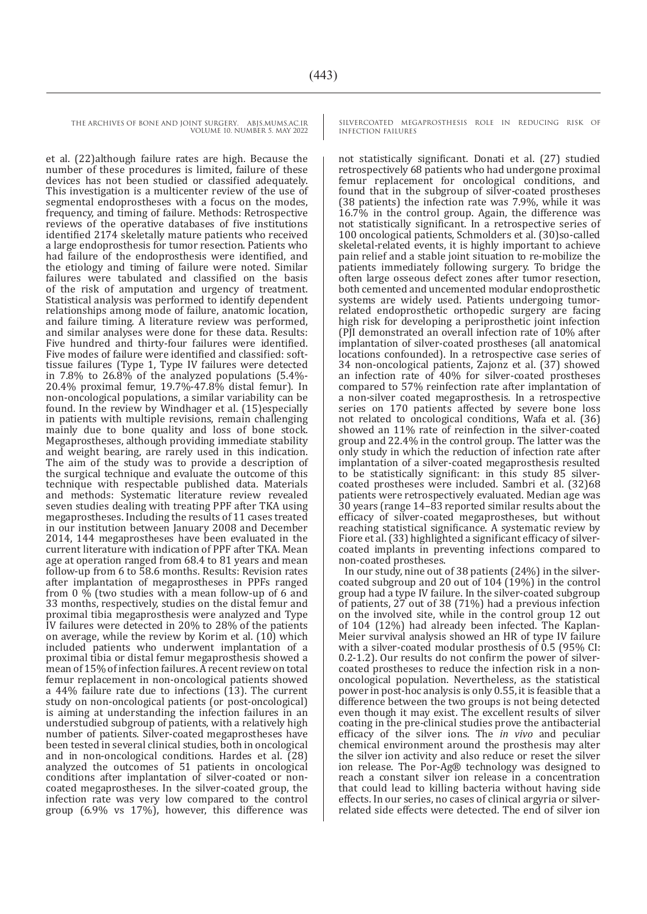et al. (22)although failure rates are high. Because the number of these procedures is limited, failure of these devices has not been studied or classified adequately. This investigation is a multicenter review of the use of segmental endoprostheses with a focus on the modes, frequency, and timing of failure. Methods: Retrospective reviews of the operative databases of five institutions identified 2174 skeletally mature patients who received a large endoprosthesis for tumor resection. Patients who had failure of the endoprosthesis were identified, and the etiology and timing of failure were noted. Similar failures were tabulated and classified on the basis of the risk of amputation and urgency of treatment. Statistical analysis was performed to identify dependent relationships among mode of failure, anatomic location, and failure timing. A literature review was performed, and similar analyses were done for these data. Results: Five hundred and thirty-four failures were identified. Five modes of failure were identified and classified: softtissue failures (Type 1, Type IV failures were detected in 7.8% to  $26.\overline{8\%}$  of the analyzed populations (5.4%-20.4% proximal femur, 19.7%-47.8% distal femur). In non-oncological populations, a similar variability can be found. In the review by Windhager et al. (15)especially in patients with multiple revisions, remain challenging mainly due to bone quality and loss of bone stock. Megaprostheses, although providing immediate stability and weight bearing, are rarely used in this indication. The aim of the study was to provide a description of the surgical technique and evaluate the outcome of this technique with respectable published data. Materials and methods: Systematic literature review revealed seven studies dealing with treating PPF after TKA using megaprostheses. Including the results of 11 cases treated in our institution between January 2008 and December 2014, 144 megaprostheses have been evaluated in the current literature with indication of PPF after TKA. Mean age at operation ranged from 68.4 to 81 years and mean follow-up from 6 to 58.6 months. Results: Revision rates after implantation of megaprostheses in PPFs ranged from 0 % (two studies with a mean follow-up of 6 and 33 months, respectively, studies on the distal femur and proximal tibia megaprosthesis were analyzed and Type IV failures were detected in 20% to 28% of the patients on average, while the review by Korim et al. (10) which included patients who underwent implantation of a proximal tibia or distal femur megaprosthesis showed a mean of 15% of infection failures. A recent review on total femur replacement in non-oncological patients showed a 44% failure rate due to infections (13). The current study on non-oncological patients (or post-oncological) is aiming at understanding the infection failures in an understudied subgroup of patients, with a relatively high number of patients. Silver-coated megaprostheses have been tested in several clinical studies, both in oncological and in non-oncological conditions. Hardes et al. (28) analyzed the outcomes of 51 patients in oncological conditions after implantation of silver-coated or noncoated megaprostheses. In the silver-coated group, the infection rate was very low compared to the control group (6.9% vs 17%), however, this difference was

SILVERCOATED MEGAPROSTHESIS ROLE IN REDUCING RISK OF INFECTION FAILURES

not statistically significant. Donati et al. (27) studied retrospectively 68 patients who had undergone proximal femur replacement for oncological conditions, and found that in the subgroup of silver-coated prostheses (38 patients) the infection rate was 7.9%, while it was 16.7% in the control group. Again, the difference was not statistically significant. In a retrospective series of 100 oncological patients, Schmolders et al. (30)so-called skeletal-related events, it is highly important to achieve pain relief and a stable joint situation to re-mobilize the patients immediately following surgery. To bridge the often large osseous defect zones after tumor resection, both cemented and uncemented modular endoprosthetic systems are widely used. Patients undergoing tumorrelated endoprosthetic orthopedic surgery are facing high risk for developing a periprosthetic joint infection (PJI demonstrated an overall infection rate of 10% after implantation of silver-coated prostheses (all anatomical locations confounded). In a retrospective case series of 34 non-oncological patients, Zajonz et al. (37) showed an infection rate of 40% for silver-coated prostheses compared to 57% reinfection rate after implantation of a non-silver coated megaprosthesis. In a retrospective series on 170 patients affected by severe bone loss not related to oncological conditions, Wafa et al. (36) showed an 11% rate of reinfection in the silver-coated group and 22.4% in the control group. The latter was the only study in which the reduction of infection rate after implantation of a silver-coated megaprosthesis resulted to be statistically significant: in this study 85 silvercoated prostheses were included. Sambri et al. (32)68 patients were retrospectively evaluated. Median age was 30 years (range 14–83 reported similar results about the efficacy of silver-coated megaprostheses, but without reaching statistical significance. A systematic review by Fiore et al. (33) highlighted a significant efficacy of silvercoated implants in preventing infections compared to non-coated prostheses.

In our study, nine out of 38 patients (24%) in the silvercoated subgroup and 20 out of 104 (19%) in the control group had a type IV failure. In the silver-coated subgroup of patients, 27 out of 38 (71%) had a previous infection on the involved site, while in the control group 12 out of 104 (12%) had already been infected. The Kaplan-Meier survival analysis showed an HR of type IV failure with a silver-coated modular prosthesis of 0.5 (95% CI: 0.2-1.2). Our results do not confirm the power of silvercoated prostheses to reduce the infection risk in a nononcological population. Nevertheless, as the statistical power in post-hoc analysis is only 0.55, it is feasible that a difference between the two groups is not being detected even though it may exist. The excellent results of silver coating in the pre-clinical studies prove the antibacterial efficacy of the silver ions. The *in vivo* and peculiar chemical environment around the prosthesis may alter the silver ion activity and also reduce or reset the silver ion release. The Por-Ag® technology was designed to reach a constant silver ion release in a concentration that could lead to killing bacteria without having side effects. In our series, no cases of clinical argyria or silverrelated side effects were detected. The end of silver ion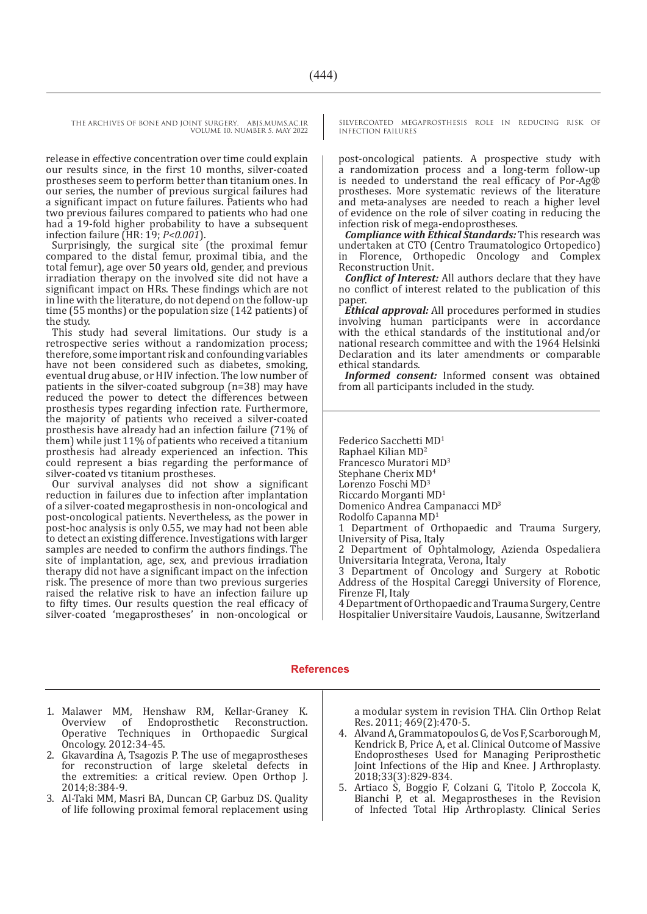release in effective concentration over time could explain our results since, in the first 10 months, silver-coated prostheses seem to perform better than titanium ones. In our series, the number of previous surgical failures had a significant impact on future failures. Patients who had two previous failures compared to patients who had one had a 19-fold higher probability to have a subsequent infection failure (HR: 19; *P<0.001*).

Surprisingly, the surgical site (the proximal femur compared to the distal femur, proximal tibia, and the total femur), age over 50 years old, gender, and previous irradiation therapy on the involved site did not have a significant impact on HRs. These findings which are not in line with the literature, do not depend on the follow-up time (55 months) or the population size (142 patients) of the study.

This study had several limitations. Our study is a retrospective series without a randomization process; therefore, some important risk and confounding variables have not been considered such as diabetes, smoking, eventual drug abuse, or HIV infection. The low number of patients in the silver-coated subgroup (n=38) may have reduced the power to detect the differences between prosthesis types regarding infection rate. Furthermore, the majority of patients who received a silver-coated prosthesis have already had an infection failure (71% of them) while just 11% of patients who received a titanium prosthesis had already experienced an infection. This could represent a bias regarding the performance of silver-coated vs titanium prostheses.

Our survival analyses did not show a significant reduction in failures due to infection after implantation of a silver-coated megaprosthesis in non-oncological and post-oncological patients. Nevertheless, as the power in post-hoc analysis is only 0.55, we may had not been able to detect an existing difference. Investigations with larger samples are needed to confirm the authors findings. The site of implantation, age, sex, and previous irradiation therapy did not have a significant impact on the infection risk. The presence of more than two previous surgeries raised the relative risk to have an infection failure up to fifty times. Our results question the real efficacy of silver-coated 'megaprostheses' in non-oncological or SILVERCOATED MEGAPROSTHESIS ROLE IN REDUCING RISK OF INFECTION FAILURES

post-oncological patients. A prospective study with a randomization process and a long-term follow-up is needed to understand the real efficacy of Por-Ag® prostheses. More systematic reviews of the literature and meta-analyses are needed to reach a higher level of evidence on the role of silver coating in reducing the infection risk of mega-endoprostheses.

*Compliance with Ethical Standards:* This research was undertaken at CTO (Centro Traumatologico Ortopedico) in Florence, Orthopedic Oncology and Complex Reconstruction Unit.

*Conflict of Interest:* All authors declare that they have no conflict of interest related to the publication of this paper.

*Ethical approval:* All procedures performed in studies involving human participants were in accordance with the ethical standards of the institutional and/or national research committee and with the 1964 Helsinki Declaration and its later amendments or comparable ethical standards.

*Informed consent:* Informed consent was obtained from all participants included in the study.

Federico Sacchetti MD1 Raphael Kilian MD<sup>2</sup> Francesco Muratori MD3 Stephane Cherix MD4 Lorenzo Foschi MD3 Riccardo Morganti MD<sup>1</sup>

Domenico Andrea Campanacci MD<sup>3</sup>

Rodolfo Capanna MD<sup>1</sup>

1 Department of Orthopaedic and Trauma Surgery, University of Pisa, Italy

2 Department of Ophtalmology, Azienda Ospedaliera Universitaria Integrata, Verona, Italy

3 Department of Oncology and Surgery at Robotic Address of the Hospital Careggi University of Florence, Firenze FI, Italy

4 Department of Orthopaedic and Trauma Surgery, Centre Hospitalier Universitaire Vaudois, Lausanne, Switzerland

#### **References**

- 1. Malawer MM, Henshaw RM, Kellar-Graney K. Endoprosthetic Reconstruction. Operative Techniques in Orthopaedic Surgical Oncology. 2012:34-45.
- 2. Gkavardina A, Tsagozis P. The use of megaprostheses for reconstruction of large skeletal defects in the extremities: a critical review. Open Orthop J. 2014;8:384-9.
- 3. Al-Taki MM, Masri BA, Duncan CP, Garbuz DS. Quality of life following proximal femoral replacement using

a modular system in revision THA. Clin Orthop Relat Res. 2011; 469(2):470-5.

- 4. Alvand A, Grammatopoulos G, de Vos F, Scarborough M, Kendrick B, Price A, et al. Clinical Outcome of Massive Endoprostheses Used for Managing Periprosthetic Joint Infections of the Hip and Knee. J Arthroplasty. 2018;33(3):829-834.
- 5. Artiaco S, Boggio F, Colzani G, Titolo P, Zoccola K, Bianchi P, et al. Megaprostheses in the Revision of Infected Total Hip Arthroplasty. Clinical Series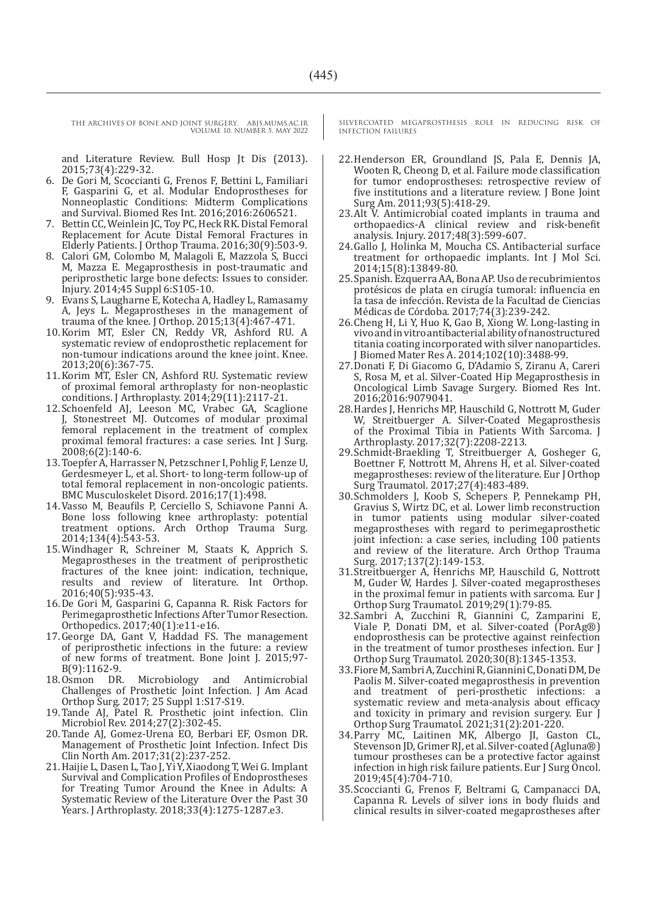THE ARCHIVES OF BONE AND JOINT SURGERY. ABJS.MUMS.AC.IR

VOLUME 10. NUMBER 5. MAY 2022

and Literature Review. Bull Hosp Jt Dis (2013). 2015;73(4):229-32.

- 6. De Gori M, Scoccianti G, Frenos F, Bettini L, Familiari F, Gasparini G, et al. Modular Endoprostheses for Nonneoplastic Conditions: Midterm Complications and Survival. Biomed Res Int. 2016;2016:2606521.
- 7. Bettin CC, Weinlein JC, Toy PC, Heck RK. Distal Femoral Replacement for Acute Distal Femoral Fractures in Elderly Patients. J Orthop Trauma. 2016;30(9):503-9.
- 8. Calori GM, Colombo M, Malagoli E, Mazzola S, Bucci M, Mazza E. Megaprosthesis in post-traumatic and periprosthetic large bone defects: Issues to consider. Injury. 2014;45 Suppl 6:S105-10.
- 9. Evans S, Laugharne E, Kotecha A, Hadley L, Ramasamy A, Jeys L. Megaprostheses in the management of trauma of the knee. J Orthop. 2015;13(4):467-471.
- 10.Korim MT, Esler CN, Reddy VR, Ashford RU. A systematic review of endoprosthetic replacement for non-tumour indications around the knee joint. Knee. 2013;20(6):367-75.
- 11.Korim MT, Esler CN, Ashford RU. Systematic review of proximal femoral arthroplasty for non-neoplastic conditions. J Arthroplasty. 2014;29(11):2117-21.
- 12.Schoenfeld AJ, Leeson MC, Vrabec GA, Scaglione J, Stonestreet MJ. Outcomes of modular proximal femoral replacement in the treatment of complex proximal femoral fractures: a case series. Int J Surg. 2008;6(2):140-6.
- 13.Toepfer A, Harrasser N, Petzschner I, Pohlig F, Lenze U, Gerdesmeyer L, et al. Short- to long-term follow-up of total femoral replacement in non-oncologic patients. BMC Musculoskelet Disord. 2016;17(1):498.
- 14.Vasso M, Beaufils P, Cerciello S, Schiavone Panni A. Bone loss following knee arthroplasty: potential treatment options. Arch Orthop Trauma Surg. 2014;134(4):543-53.
- 15.Windhager R, Schreiner M, Staats K, Apprich S. Megaprostheses in the treatment of periprosthetic fractures of the knee joint: indication, technique, results and review of literature. Int Orthop. 2016;40(5):935-43.
- 16.De Gori M, Gasparini G, Capanna R. Risk Factors for Perimegaprosthetic Infections After Tumor Resection. Orthopedics. 2017;40(1):e11-e16.
- 17.George DA, Gant V, Haddad FS. The management of periprosthetic infections in the future: a review of new forms of treatment. Bone Joint J. 2015;97- B(9):1162-9.<br>18.0smon DR.
- 18.Osmon DR. Microbiology and Antimicrobial Challenges of Prosthetic Joint Infection. J Am Acad Orthop Surg. 2017; 25 Suppl 1:S17-S19.
- 19.Tande AJ, Patel R. Prosthetic joint infection. Clin Microbiol Rev. 2014;27(2):302-45.
- 20.Tande AJ, Gomez-Urena EO, Berbari EF, Osmon DR. Management of Prosthetic Joint Infection. Infect Dis Clin North Am. 2017;31(2):237-252.
- 21.Haijie L, Dasen L, Tao J, Yi Y, Xiaodong T, Wei G. Implant Survival and Complication Profiles of Endoprostheses for Treating Tumor Around the Knee in Adults: A Systematic Review of the Literature Over the Past 30 Years. J Arthroplasty. 2018;33(4):1275-1287.e3.

SILVERCOATED MEGAPROSTHESIS ROLE IN REDUCING RISK OF INFECTION FAILURES

- 22.Henderson ER, Groundland JS, Pala E, Dennis JA, Wooten R, Cheong D, et al. Failure mode classification for tumor endoprostheses: retrospective review of five institutions and a literature review. J Bone Joint Surg Am. 2011;93(5):418-29.
- 23.Alt V. Antimicrobial coated implants in trauma and orthopaedics-A clinical review and risk-benefit analysis. Injury. 2017;48(3):599-607.
- 24.Gallo J, Holinka M, Moucha CS. Antibacterial surface treatment for orthopaedic implants. Int J Mol Sci. 2014;15(8):13849-80.
- 25.Spanish. Ezquerra AA, Bona AP. Uso de recubrimientos protésicos de plata en cirugía tumoral: influencia en la tasa de infección. Revista de la Facultad de Ciencias Médicas de Córdoba. 2017;74(3):239-242.
- 26.Cheng H, Li Y, Huo K, Gao B, Xiong W. Long-lasting in vivo and in vitro antibacterial ability of nanostructured titania coating incorporated with silver nanoparticles. J Biomed Mater Res A. 2014;102(10):3488-99.
- 27.Donati F, Di Giacomo G, D'Adamio S, Ziranu A, Careri S, Rosa M, et al. Silver-Coated Hip Megaprosthesis in Oncological Limb Savage Surgery. Biomed Res Int. 2016;2016:9079041.
- 28.Hardes J, Henrichs MP, Hauschild G, Nottrott M, Guder W, Streitbuerger A. Silver-Coated Megaprosthesis of the Proximal Tibia in Patients With Sarcoma. J Arthroplasty. 2017;32(7):2208-2213.
- 29.Schmidt-Braekling T, Streitbuerger A, Gosheger G, Boettner F, Nottrott M, Ahrens H, et al. Silver-coated megaprostheses: review of the literature. Eur J Orthop Surg Traumatol. 2017;27(4):483-489.
- 30.Schmolders J, Koob S, Schepers P, Pennekamp PH, Gravius S, Wirtz DC, et al. Lower limb reconstruction in tumor patients using modular silver-coated megaprostheses with regard to perimegaprosthetic joint infection: a case series, including 100 patients and review of the literature. Arch Orthop Trauma Surg. 2017;137(2):149-153.
- 31.Streitbuerger A, Henrichs MP, Hauschild G, Nottrott M, Guder W, Hardes J. Silver-coated megaprostheses in the proximal femur in patients with sarcoma. Eur J Orthop Surg Traumatol. 2019;29(1):79-85.
- 32.Sambri A, Zucchini R, Giannini C, Zamparini E, Viale P, Donati DM, et al. Silver-coated (PorAg®) endoprosthesis can be protective against reinfection in the treatment of tumor prostheses infection. Eur J Orthop Surg Traumatol. 2020;30(8):1345-1353.
- 33.Fiore M, Sambri A, Zucchini R, Giannini C, Donati DM, De Paolis M. Silver-coated megaprosthesis in prevention and treatment of peri-prosthetic infections: a systematic review and meta-analysis about efficacy and toxicity in primary and revision surgery. Eur J Orthop Surg Traumatol. 2021;31(2):201-220.
- 34.Parry MC, Laitinen MK, Albergo JI, Gaston CL, Stevenson JD, Grimer RJ, et al. Silver-coated (Agluna®) tumour prostheses can be a protective factor against infection in high risk failure patients. Eur J Surg Oncol. 2019;45(4):704-710.
- 35.Scoccianti G, Frenos F, Beltrami G, Campanacci DA, Capanna R. Levels of silver ions in body fluids and clinical results in silver-coated megaprostheses after